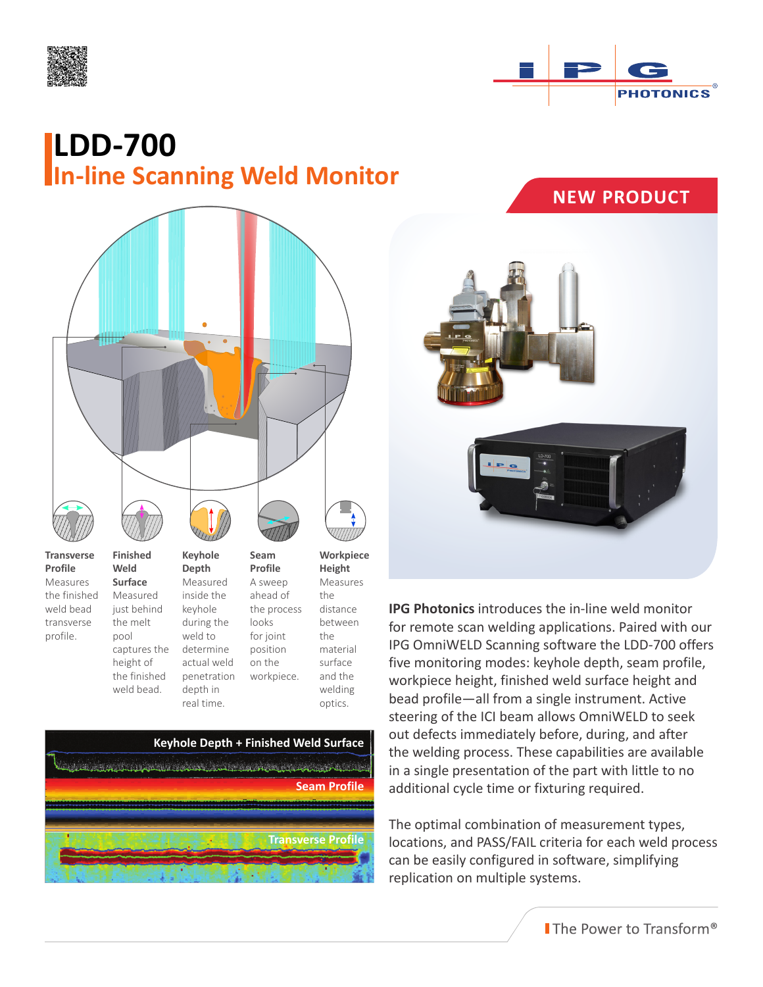



## **LDD-700 In-line Scanning Weld Monitor**



the finished weld bead transverse profile.

Measured just behind the melt pool captures the height of the finished weld bead.

inside the keyhole during the weld to determine actual weld penetration depth in

looks for joint position on the

the distance between the material surface and the welding optics. the process workpiece.



real time.



**IPG Photonics** introduces the in-line weld monitor for remote scan welding applications. Paired with our IPG OmniWELD Scanning software the LDD-700 offers five monitoring modes: keyhole depth, seam profile, workpiece height, finished weld surface height and bead profile—all from a single instrument. Active steering of the ICI beam allows OmniWELD to seek out defects immediately before, during, and after the welding process. These capabilities are available in a single presentation of the part with little to no additional cycle time or fixturing required.

The optimal combination of measurement types, locations, and PASS/FAIL criteria for each weld process can be easily configured in software, simplifying replication on multiple systems.